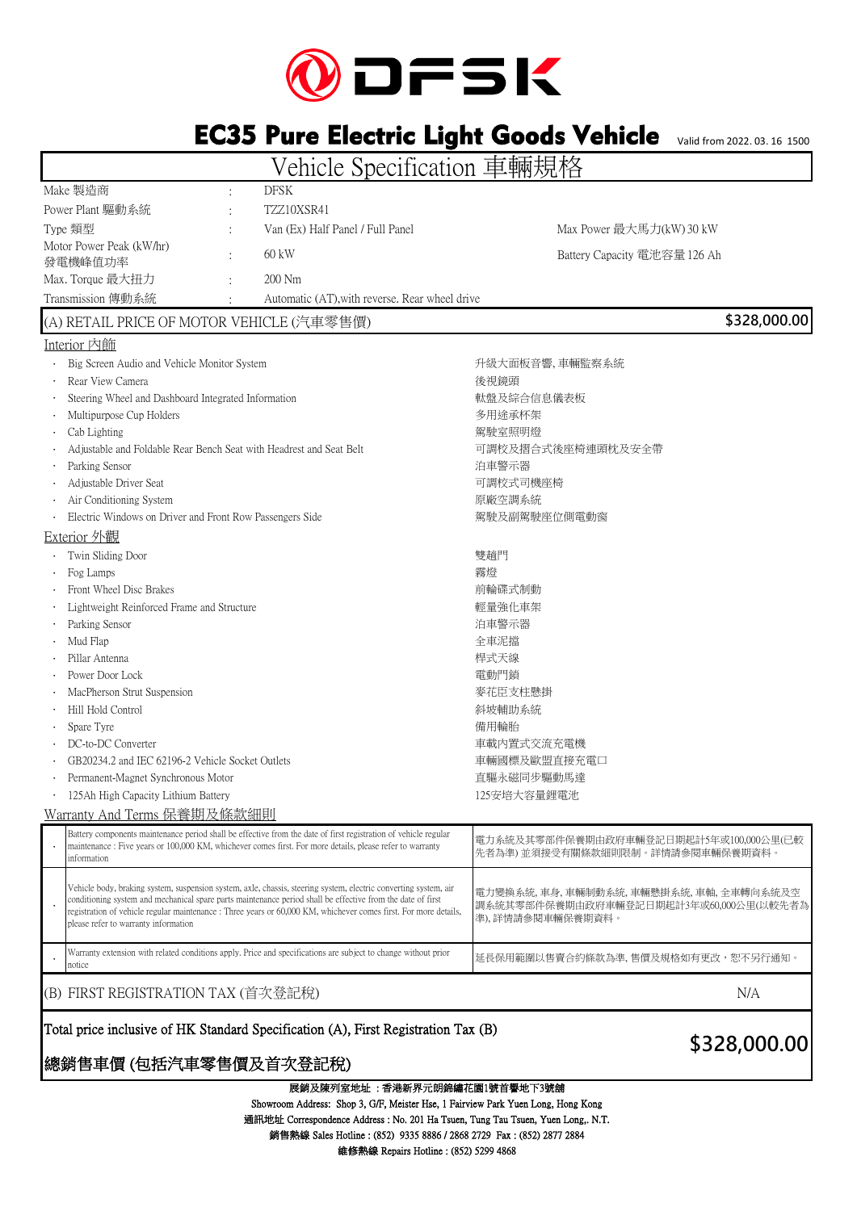

# EC35 Pure Electric Light Goods Vehicle

Valid from 2022. 03. 16 1500

Vehicle Specification 車輛規格

|                                                                                                                                                                                                                                                                                                                                                                                             |  | <i>r</i> Univid Opochtication                  | エロリノソロ                                                                                             |
|---------------------------------------------------------------------------------------------------------------------------------------------------------------------------------------------------------------------------------------------------------------------------------------------------------------------------------------------------------------------------------------------|--|------------------------------------------------|----------------------------------------------------------------------------------------------------|
| Make 製造商                                                                                                                                                                                                                                                                                                                                                                                    |  | <b>DFSK</b>                                    |                                                                                                    |
| Power Plant 驅動系統                                                                                                                                                                                                                                                                                                                                                                            |  | TZZ10XSR41                                     |                                                                                                    |
| Type 類型                                                                                                                                                                                                                                                                                                                                                                                     |  | Van (Ex) Half Panel / Full Panel               | Max Power 最大馬力(kW) 30 kW                                                                           |
| Motor Power Peak (kW/hr)<br>發電機峰值功率                                                                                                                                                                                                                                                                                                                                                         |  | 60 kW                                          | Battery Capacity 電池容量 126 Ah                                                                       |
| Max. Torque 最大扭力                                                                                                                                                                                                                                                                                                                                                                            |  | $200$ Nm                                       |                                                                                                    |
| Transmission 傳動系統                                                                                                                                                                                                                                                                                                                                                                           |  | Automatic (AT), with reverse. Rear wheel drive |                                                                                                    |
| (A) RETAIL PRICE OF MOTOR VEHICLE (汽車零售價)                                                                                                                                                                                                                                                                                                                                                   |  |                                                | \$328,000.00                                                                                       |
| Interior 内飾                                                                                                                                                                                                                                                                                                                                                                                 |  |                                                |                                                                                                    |
| Big Screen Audio and Vehicle Monitor System                                                                                                                                                                                                                                                                                                                                                 |  |                                                | 升級大面板音響,車輛監察系統                                                                                     |
| Rear View Camera                                                                                                                                                                                                                                                                                                                                                                            |  |                                                | 後視鏡頭                                                                                               |
| Steering Wheel and Dashboard Integrated Information                                                                                                                                                                                                                                                                                                                                         |  |                                                | 軚盤及綜合信息儀表板                                                                                         |
| Multipurpose Cup Holders                                                                                                                                                                                                                                                                                                                                                                    |  |                                                | 多用途承杯架                                                                                             |
| Cab Lighting                                                                                                                                                                                                                                                                                                                                                                                |  |                                                | 駕駛室照明燈                                                                                             |
| Adjustable and Foldable Rear Bench Seat with Headrest and Seat Belt                                                                                                                                                                                                                                                                                                                         |  |                                                | 可調校及摺合式後座椅連頭枕及安全帶                                                                                  |
| Parking Sensor                                                                                                                                                                                                                                                                                                                                                                              |  |                                                | 泊車警示器                                                                                              |
| Adjustable Driver Seat                                                                                                                                                                                                                                                                                                                                                                      |  |                                                | 可調校式司機座椅                                                                                           |
| Air Conditioning System                                                                                                                                                                                                                                                                                                                                                                     |  |                                                | 原廠空調系統                                                                                             |
| Electric Windows on Driver and Front Row Passengers Side                                                                                                                                                                                                                                                                                                                                    |  |                                                | 駕駛及副駕駛座位側電動窗                                                                                       |
| <b>Exterior</b> 外觀                                                                                                                                                                                                                                                                                                                                                                          |  |                                                |                                                                                                    |
| Twin Sliding Door                                                                                                                                                                                                                                                                                                                                                                           |  |                                                | 雙趟門                                                                                                |
| Fog Lamps                                                                                                                                                                                                                                                                                                                                                                                   |  |                                                | 霧燈                                                                                                 |
| Front Wheel Disc Brakes                                                                                                                                                                                                                                                                                                                                                                     |  |                                                | 前輪碟式制動                                                                                             |
| Lightweight Reinforced Frame and Structure                                                                                                                                                                                                                                                                                                                                                  |  |                                                | 輕量強化車架                                                                                             |
| Parking Sensor                                                                                                                                                                                                                                                                                                                                                                              |  |                                                | 泊車警示器                                                                                              |
| Mud Flap                                                                                                                                                                                                                                                                                                                                                                                    |  |                                                | 全車泥擋                                                                                               |
| Pillar Antenna                                                                                                                                                                                                                                                                                                                                                                              |  |                                                | 桿式天線                                                                                               |
| Power Door Lock                                                                                                                                                                                                                                                                                                                                                                             |  |                                                | 電動門鎖                                                                                               |
| MacPherson Strut Suspension                                                                                                                                                                                                                                                                                                                                                                 |  |                                                | 麥花臣支柱懸掛                                                                                            |
| Hill Hold Control                                                                                                                                                                                                                                                                                                                                                                           |  |                                                | 斜坡輔助系統                                                                                             |
| Spare Tyre                                                                                                                                                                                                                                                                                                                                                                                  |  |                                                | 備用輪胎                                                                                               |
| DC-to-DC Converter                                                                                                                                                                                                                                                                                                                                                                          |  |                                                | 車載內置式交流充電機                                                                                         |
| GB20234.2 and IEC 62196-2 Vehicle Socket Outlets                                                                                                                                                                                                                                                                                                                                            |  |                                                | 車輛國標及歐盟直接充電口                                                                                       |
| Permanent-Magnet Synchronous Motor                                                                                                                                                                                                                                                                                                                                                          |  |                                                | 直驅永磁同步驅動馬達                                                                                         |
| 125Ah High Capacity Lithium Battery                                                                                                                                                                                                                                                                                                                                                         |  |                                                | 125安培大容量鋰電池                                                                                        |
| Warranty And Terms 保養期及條款細則                                                                                                                                                                                                                                                                                                                                                                 |  |                                                |                                                                                                    |
| Battery components maintenance period shall be effective from the date of first registration of vehicle regular<br>maintenance : Five years or 100,000 KM, whichever comes first. For more details, please refer to warranty<br>information                                                                                                                                                 |  |                                                | 電力系統及其零部件保養期由政府車輛登記日期起計5年或100,000公里(已較<br>先者為準) 並須接受有關條款細則限制。詳情請參閱車輛保養期資料。                         |
| Vehicle body, braking system, suspension system, axle, chassis, steering system, electric converting system, air<br>conditioning system and mechanical spare parts maintenance period shall be effective from the date of first<br>registration of vehicle regular maintenance : Three years or 60,000 KM, whichever comes first. For more details,<br>please refer to warranty information |  |                                                | 電力變換系統,車身,車輛制動系統,車輛懸掛系統,車軸,全車轉向系統及空<br>調系統其零部件保養期由政府車輛登記日期起計3年或60,000公里(以較先者為)<br>準),詳情請參閱車輛保養期資料。 |
| Warranty extension with related conditions apply. Price and specifications are subject to change without prior                                                                                                                                                                                                                                                                              |  |                                                | 延長保用範圍以售賣合約條款為準, 售價及規格如有更改,恕不另行通知。                                                                 |

(B) FIRST REGISTRATION TAX (首次登記稅)  $N/A$ 

notice

### Total price inclusive of HK Standard Specification (A), First Registration Tax (B)

## 總銷售車價 (包括汽車零售價及首次登記稅)

#### 展銷及陳列室地址 : 香港新界元朗錦繡花園1號首譽地下3號舖

通訊地址 Correspondence Address : No. 201 Ha Tsuen, Tung Tau Tsuen, Yuen Long,. N.T. 銷售熱線 Sales Hotline : (852) 9335 8886 / 2868 2729 Fax : (852) 2877 2884 Showroom Address: Shop 3, G/F, Meister Hse, 1 Fairview Park Yuen Long, Hong Kong 維修熱線 Repairs Hotline : (852) 5299 4868

## **\$328,000.00**